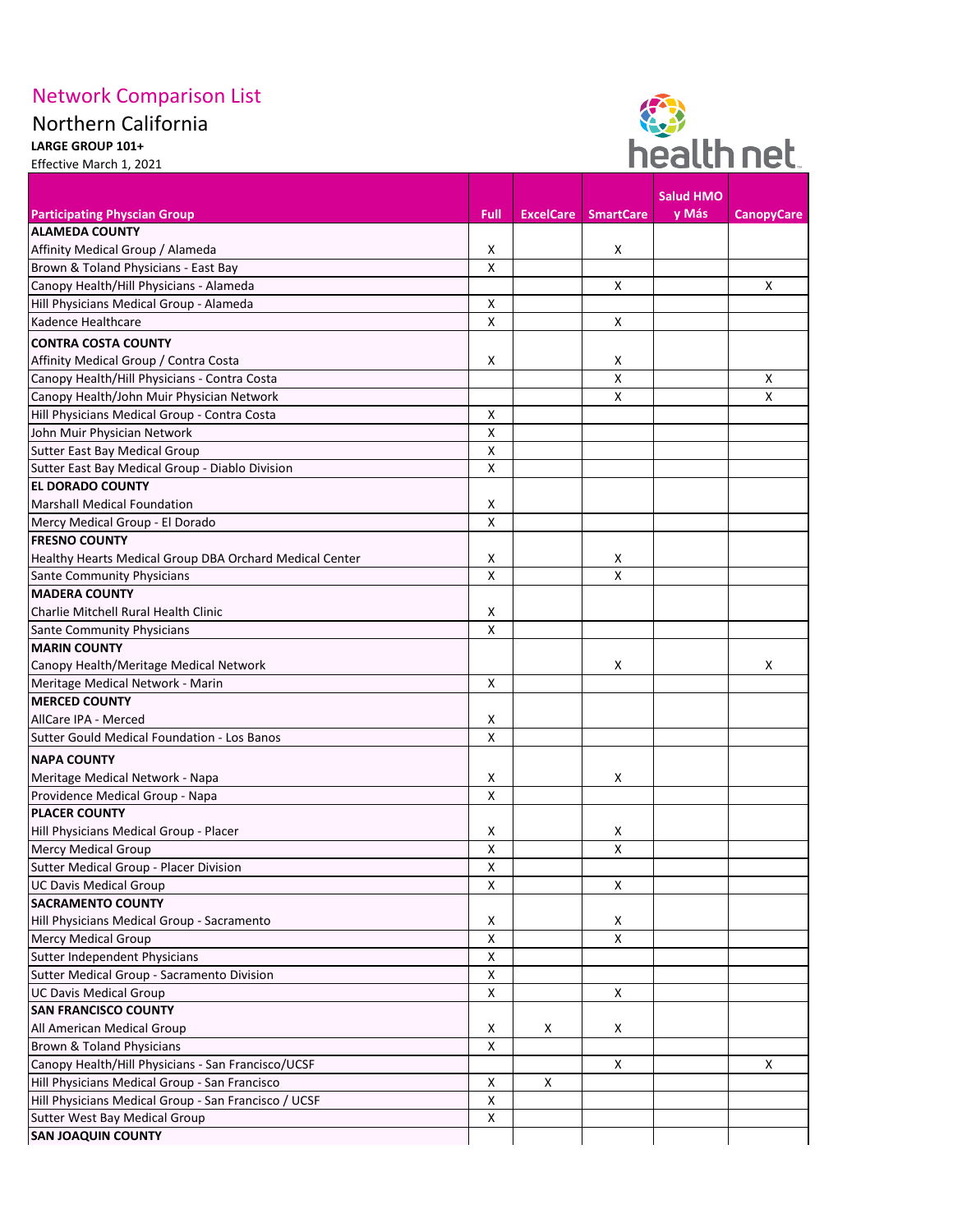## Network Comparison List

## Northern California

**LARGE GROUP 101+**  Effective March 1, 2021



|                                                                      |                           |                  |                           | <b>Salud HMO</b> |                   |
|----------------------------------------------------------------------|---------------------------|------------------|---------------------------|------------------|-------------------|
| <b>Participating Physcian Group</b>                                  | Full                      | <b>ExcelCare</b> | <b>SmartCare</b>          | y Más            | <b>CanopyCare</b> |
| <b>ALAMEDA COUNTY</b>                                                |                           |                  |                           |                  |                   |
| Affinity Medical Group / Alameda                                     | X                         |                  | X                         |                  |                   |
| Brown & Toland Physicians - East Bay                                 | X                         |                  |                           |                  |                   |
| Canopy Health/Hill Physicians - Alameda                              |                           |                  | $\boldsymbol{\mathsf{X}}$ |                  | X                 |
| Hill Physicians Medical Group - Alameda                              | Χ                         |                  |                           |                  |                   |
| Kadence Healthcare                                                   | Χ                         |                  | X                         |                  |                   |
| <b>CONTRA COSTA COUNTY</b>                                           |                           |                  |                           |                  |                   |
| Affinity Medical Group / Contra Costa                                | X                         |                  | X                         |                  |                   |
| Canopy Health/Hill Physicians - Contra Costa                         |                           |                  | $\boldsymbol{\mathsf{X}}$ |                  | X                 |
| Canopy Health/John Muir Physician Network                            |                           |                  | X                         |                  | X                 |
| Hill Physicians Medical Group - Contra Costa                         | Χ                         |                  |                           |                  |                   |
| John Muir Physician Network                                          | Χ                         |                  |                           |                  |                   |
| <b>Sutter East Bay Medical Group</b>                                 | X                         |                  |                           |                  |                   |
| Sutter East Bay Medical Group - Diablo Division                      | $\pmb{\times}$            |                  |                           |                  |                   |
| <b>EL DORADO COUNTY</b>                                              |                           |                  |                           |                  |                   |
| <b>Marshall Medical Foundation</b>                                   | Χ                         |                  |                           |                  |                   |
| Mercy Medical Group - El Dorado                                      | X                         |                  |                           |                  |                   |
| <b>FRESNO COUNTY</b>                                                 |                           |                  |                           |                  |                   |
| Healthy Hearts Medical Group DBA Orchard Medical Center              | x                         |                  | X                         |                  |                   |
| <b>Sante Community Physicians</b>                                    | Χ                         |                  | Χ                         |                  |                   |
| <b>MADERA COUNTY</b>                                                 |                           |                  |                           |                  |                   |
| Charlie Mitchell Rural Health Clinic                                 | Χ                         |                  |                           |                  |                   |
| <b>Sante Community Physicians</b>                                    | Χ                         |                  |                           |                  |                   |
| <b>MARIN COUNTY</b>                                                  |                           |                  |                           |                  |                   |
| Canopy Health/Meritage Medical Network                               |                           |                  | X                         |                  | X                 |
| Meritage Medical Network - Marin                                     | Χ                         |                  |                           |                  |                   |
| <b>MERCED COUNTY</b>                                                 |                           |                  |                           |                  |                   |
| AllCare IPA - Merced                                                 | x                         |                  |                           |                  |                   |
| Sutter Gould Medical Foundation - Los Banos                          | Χ                         |                  |                           |                  |                   |
|                                                                      |                           |                  |                           |                  |                   |
| <b>NAPA COUNTY</b>                                                   |                           |                  |                           |                  |                   |
| Meritage Medical Network - Napa                                      | X                         |                  | $\boldsymbol{\mathsf{X}}$ |                  |                   |
| Providence Medical Group - Napa<br><b>PLACER COUNTY</b>              | Χ                         |                  |                           |                  |                   |
|                                                                      | X                         |                  |                           |                  |                   |
| Hill Physicians Medical Group - Placer<br><b>Mercy Medical Group</b> |                           |                  | X<br>$\pmb{\times}$       |                  |                   |
| Sutter Medical Group - Placer Division                               | X<br>Χ                    |                  |                           |                  |                   |
|                                                                      |                           |                  | $\boldsymbol{\mathsf{X}}$ |                  |                   |
| <b>UC Davis Medical Group</b><br><b>SACRAMENTO COUNTY</b>            | Χ                         |                  |                           |                  |                   |
| Hill Physicians Medical Group - Sacramento                           | X                         |                  | X                         |                  |                   |
| <b>Mercy Medical Group</b>                                           |                           |                  | $\pmb{\times}$            |                  |                   |
|                                                                      | X<br>Χ                    |                  |                           |                  |                   |
| Sutter Independent Physicians                                        | Χ                         |                  |                           |                  |                   |
| Sutter Medical Group - Sacramento Division                           |                           |                  |                           |                  |                   |
| <b>UC Davis Medical Group</b>                                        | Χ                         |                  | $\pmb{\times}$            |                  |                   |
| <b>SAN FRANCISCO COUNTY</b>                                          |                           |                  |                           |                  |                   |
| All American Medical Group                                           | X                         | X                | X                         |                  |                   |
| <b>Brown &amp; Toland Physicians</b>                                 | Χ                         |                  |                           |                  |                   |
| Canopy Health/Hill Physicians - San Francisco/UCSF                   |                           |                  | $\boldsymbol{\mathsf{X}}$ |                  | X                 |
| Hill Physicians Medical Group - San Francisco                        | X                         | $\mathsf{X}$     |                           |                  |                   |
| Hill Physicians Medical Group - San Francisco / UCSF                 | Χ                         |                  |                           |                  |                   |
| <b>Sutter West Bay Medical Group</b>                                 | $\boldsymbol{\mathsf{X}}$ |                  |                           |                  |                   |
| <b>SAN JOAQUIN COUNTY</b>                                            |                           |                  |                           |                  |                   |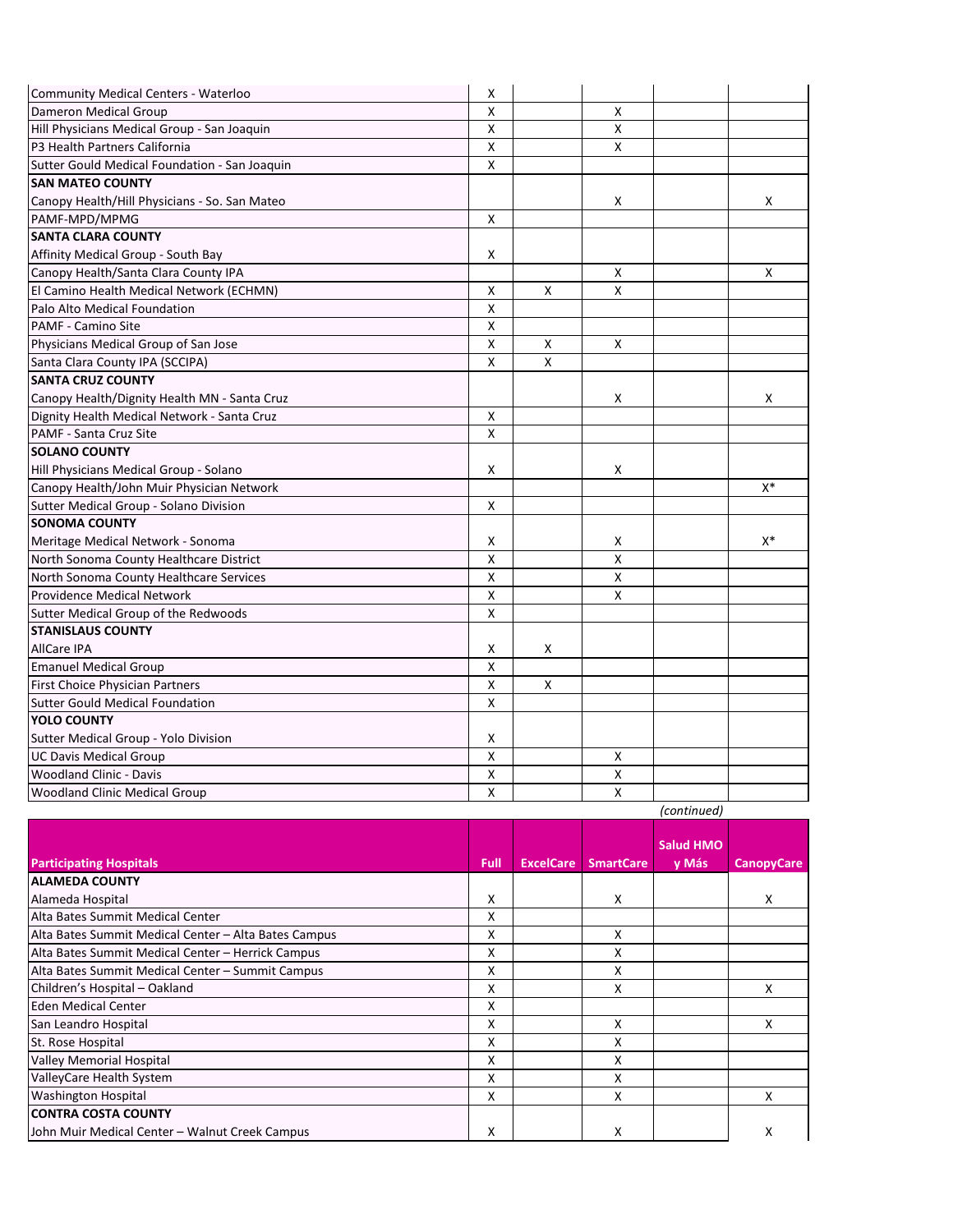| Community Medical Centers - Waterloo          | Χ                         |              |                           |             |       |
|-----------------------------------------------|---------------------------|--------------|---------------------------|-------------|-------|
| Dameron Medical Group                         | X                         |              | X                         |             |       |
| Hill Physicians Medical Group - San Joaquin   | Χ                         |              | X                         |             |       |
| P3 Health Partners California                 | $\pmb{\mathsf{X}}$        |              | X                         |             |       |
| Sutter Gould Medical Foundation - San Joaquin | $\boldsymbol{\mathsf{X}}$ |              |                           |             |       |
| <b>SAN MATEO COUNTY</b>                       |                           |              |                           |             |       |
| Canopy Health/Hill Physicians - So. San Mateo |                           |              | X                         |             | X     |
| PAMF-MPD/MPMG                                 | $\pmb{\times}$            |              |                           |             |       |
| <b>SANTA CLARA COUNTY</b>                     |                           |              |                           |             |       |
| Affinity Medical Group - South Bay            | $\boldsymbol{\mathsf{X}}$ |              |                           |             |       |
| Canopy Health/Santa Clara County IPA          |                           |              | X                         |             | X     |
| El Camino Health Medical Network (ECHMN)      | $\boldsymbol{\mathsf{X}}$ | $\mathsf{X}$ | X                         |             |       |
| Palo Alto Medical Foundation                  | Χ                         |              |                           |             |       |
| PAMF - Camino Site                            | $\pmb{\mathsf{X}}$        |              |                           |             |       |
| Physicians Medical Group of San Jose          | $\boldsymbol{\mathsf{X}}$ | $\mathsf{X}$ | $\boldsymbol{\mathsf{X}}$ |             |       |
| Santa Clara County IPA (SCCIPA)               | Χ                         | X            |                           |             |       |
| <b>SANTA CRUZ COUNTY</b>                      |                           |              |                           |             |       |
| Canopy Health/Dignity Health MN - Santa Cruz  |                           |              | X                         |             | X.    |
| Dignity Health Medical Network - Santa Cruz   | $\boldsymbol{\mathsf{X}}$ |              |                           |             |       |
| PAMF - Santa Cruz Site                        | X                         |              |                           |             |       |
| <b>SOLANO COUNTY</b>                          |                           |              |                           |             |       |
| Hill Physicians Medical Group - Solano        | $\boldsymbol{\mathsf{X}}$ |              | X                         |             |       |
| Canopy Health/John Muir Physician Network     |                           |              |                           |             | $X^*$ |
| Sutter Medical Group - Solano Division        | $\mathsf{X}$              |              |                           |             |       |
| <b>SONOMA COUNTY</b>                          |                           |              |                           |             |       |
| Meritage Medical Network - Sonoma             | X                         |              | X                         |             | $X^*$ |
| North Sonoma County Healthcare District       | X                         |              | X                         |             |       |
| North Sonoma County Healthcare Services       | Χ                         |              | X                         |             |       |
| <b>Providence Medical Network</b>             | $\pmb{\mathsf{X}}$        |              | X                         |             |       |
| Sutter Medical Group of the Redwoods          | X                         |              |                           |             |       |
| <b>STANISLAUS COUNTY</b>                      |                           |              |                           |             |       |
| <b>AllCare IPA</b>                            | $\boldsymbol{\mathsf{X}}$ | $\mathsf{X}$ |                           |             |       |
| <b>Emanuel Medical Group</b>                  | $\pmb{\mathsf{X}}$        |              |                           |             |       |
| First Choice Physician Partners               | $\pmb{\times}$            | $\mathsf{X}$ |                           |             |       |
| <b>Sutter Gould Medical Foundation</b>        | $\pmb{\times}$            |              |                           |             |       |
| <b>YOLO COUNTY</b>                            |                           |              |                           |             |       |
| Sutter Medical Group - Yolo Division          | $\pmb{\times}$            |              |                           |             |       |
| <b>UC Davis Medical Group</b>                 | Χ                         |              | X                         |             |       |
| <b>Woodland Clinic - Davis</b>                | $\pmb{\times}$            |              | X                         |             |       |
| <b>Woodland Clinic Medical Group</b>          | $\pmb{\times}$            |              | X                         |             |       |
|                                               |                           |              |                           | (continued) |       |

| ontinued |  |  |  |
|----------|--|--|--|
|          |  |  |  |

| <b>Participating Hospitals</b>                       | Full | <b>ExcelCare</b> | <b>SmartCare</b> | <b>Salud HMO</b><br>y Más | <b>CanopyCare</b> |
|------------------------------------------------------|------|------------------|------------------|---------------------------|-------------------|
| <b>ALAMEDA COUNTY</b>                                |      |                  |                  |                           |                   |
| Alameda Hospital                                     | Χ    |                  | X                |                           | X                 |
| Alta Bates Summit Medical Center                     | x    |                  |                  |                           |                   |
| Alta Bates Summit Medical Center - Alta Bates Campus | X    |                  | x                |                           |                   |
| Alta Bates Summit Medical Center - Herrick Campus    | x    |                  | x                |                           |                   |
| Alta Bates Summit Medical Center - Summit Campus     | X    |                  | Χ                |                           |                   |
| Children's Hospital - Oakland                        | Χ    |                  | Χ                |                           | x                 |
| <b>Eden Medical Center</b>                           | X    |                  |                  |                           |                   |
| San Leandro Hospital                                 | x    |                  | X                |                           | X                 |
| St. Rose Hospital                                    | x    |                  | x                |                           |                   |
| <b>Valley Memorial Hospital</b>                      | X    |                  | X                |                           |                   |
| ValleyCare Health System                             | x    |                  | x                |                           |                   |
| <b>Washington Hospital</b>                           | X    |                  | X                |                           | x                 |
| <b>CONTRA COSTA COUNTY</b>                           |      |                  |                  |                           |                   |
| John Muir Medical Center - Walnut Creek Campus       | Χ    |                  | Χ                |                           | х                 |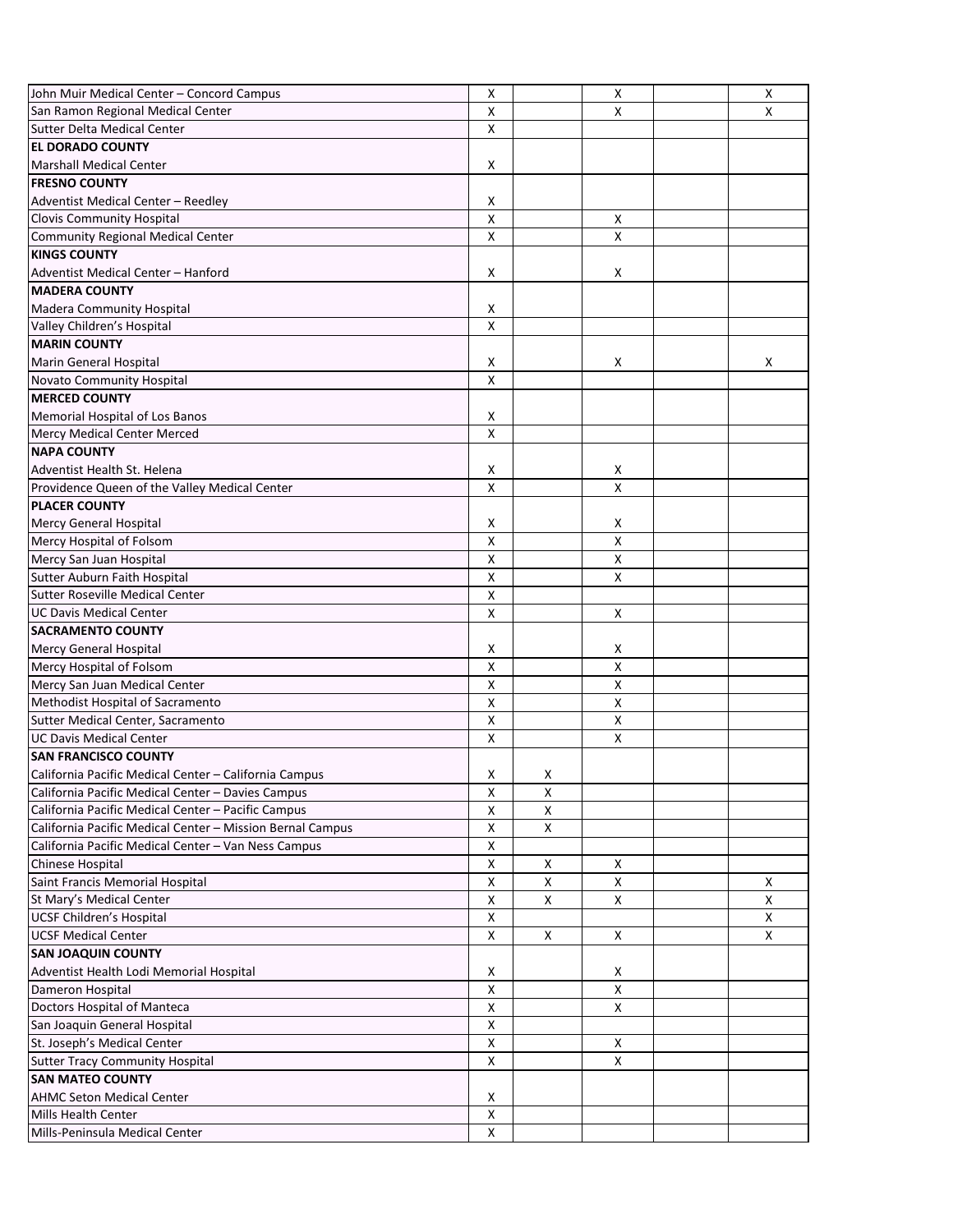| John Muir Medical Center - Concord Campus                 | X                         |                           | Χ                         | $\pmb{\times}$            |
|-----------------------------------------------------------|---------------------------|---------------------------|---------------------------|---------------------------|
| San Ramon Regional Medical Center                         | X                         |                           | X                         | X                         |
| <b>Sutter Delta Medical Center</b>                        | $\pmb{\mathsf{X}}$        |                           |                           |                           |
| <b>EL DORADO COUNTY</b>                                   |                           |                           |                           |                           |
| <b>Marshall Medical Center</b>                            | $\pmb{\mathsf{X}}$        |                           |                           |                           |
| <b>FRESNO COUNTY</b>                                      |                           |                           |                           |                           |
| Adventist Medical Center - Reedley                        | X                         |                           |                           |                           |
| <b>Clovis Community Hospital</b>                          | $\boldsymbol{\mathsf{X}}$ |                           | $\mathsf{X}$              |                           |
| <b>Community Regional Medical Center</b>                  | X                         |                           | $\pmb{\times}$            |                           |
| <b>KINGS COUNTY</b>                                       |                           |                           |                           |                           |
| Adventist Medical Center - Hanford                        | X                         |                           | X                         |                           |
| <b>MADERA COUNTY</b>                                      |                           |                           |                           |                           |
| Madera Community Hospital                                 | X                         |                           |                           |                           |
| Valley Children's Hospital                                | X                         |                           |                           |                           |
| <b>MARIN COUNTY</b>                                       |                           |                           |                           |                           |
| Marin General Hospital                                    | X                         |                           | X                         | X                         |
| <b>Novato Community Hospital</b>                          | $\pmb{\mathsf{X}}$        |                           |                           |                           |
| <b>MERCED COUNTY</b>                                      |                           |                           |                           |                           |
| Memorial Hospital of Los Banos                            | X                         |                           |                           |                           |
| Mercy Medical Center Merced                               | $\boldsymbol{\mathsf{X}}$ |                           |                           |                           |
| <b>NAPA COUNTY</b>                                        |                           |                           |                           |                           |
|                                                           |                           |                           |                           |                           |
| Adventist Health St. Helena                               | X                         |                           | X                         |                           |
| Providence Queen of the Valley Medical Center             | $\boldsymbol{\mathsf{X}}$ |                           | $\mathsf{X}$              |                           |
| <b>PLACER COUNTY</b>                                      |                           |                           |                           |                           |
| Mercy General Hospital                                    | X                         |                           | $\pmb{\mathsf{X}}$        |                           |
| Mercy Hospital of Folsom                                  | $\pmb{\mathsf{X}}$        |                           | $\pmb{\mathsf{X}}$        |                           |
| Mercy San Juan Hospital                                   | $\pmb{\mathsf{X}}$        |                           | $\mathsf{X}$              |                           |
| Sutter Auburn Faith Hospital                              | X                         |                           | X                         |                           |
| <b>Sutter Roseville Medical Center</b>                    | X                         |                           |                           |                           |
| <b>UC Davis Medical Center</b>                            | X                         |                           | $\boldsymbol{\mathsf{X}}$ |                           |
| <b>SACRAMENTO COUNTY</b>                                  |                           |                           |                           |                           |
| <b>Mercy General Hospital</b>                             | X                         |                           | X                         |                           |
| Mercy Hospital of Folsom                                  | X                         |                           | X                         |                           |
| Mercy San Juan Medical Center                             | X                         |                           | Χ                         |                           |
| Methodist Hospital of Sacramento                          | $\boldsymbol{\mathsf{X}}$ |                           | Χ                         |                           |
| Sutter Medical Center, Sacramento                         | $\pmb{\mathsf{X}}$        |                           | $\pmb{\times}$            |                           |
| <b>UC Davis Medical Center</b>                            | $\pmb{\mathsf{X}}$        |                           | $\pmb{\times}$            |                           |
| <b>SAN FRANCISCO COUNTY</b>                               |                           |                           |                           |                           |
| California Pacific Medical Center - California Campus     | X                         | X                         |                           |                           |
| California Pacific Medical Center - Davies Campus         | $\boldsymbol{\mathsf{X}}$ | X                         |                           |                           |
| California Pacific Medical Center - Pacific Campus        | $\pmb{\mathsf{X}}$        | $\pmb{\times}$            |                           |                           |
| California Pacific Medical Center - Mission Bernal Campus | $\pmb{\mathsf{X}}$        | $\mathsf{X}$              |                           |                           |
| California Pacific Medical Center - Van Ness Campus       | $\boldsymbol{\mathsf{X}}$ |                           |                           |                           |
| Chinese Hospital                                          | X                         | $\boldsymbol{\mathsf{X}}$ | X                         |                           |
| Saint Francis Memorial Hospital                           | $\boldsymbol{\mathsf{X}}$ | χ                         | Χ                         | $\boldsymbol{\mathsf{X}}$ |
| St Mary's Medical Center                                  | $\pmb{\mathsf{X}}$        | Χ                         | $\pmb{\times}$            | $\pmb{\times}$            |
| <b>UCSF Children's Hospital</b>                           | $\pmb{\mathsf{X}}$        |                           |                           | $\pmb{\times}$            |
| <b>UCSF Medical Center</b>                                | $\boldsymbol{\mathsf{X}}$ | $\mathsf{X}$              | $\mathsf{X}$              | $\mathsf{X}$              |
| <b>SAN JOAQUIN COUNTY</b>                                 |                           |                           |                           |                           |
|                                                           |                           |                           |                           |                           |
| Adventist Health Lodi Memorial Hospital                   | X<br>$\pmb{\mathsf{X}}$   |                           | X<br>$\pmb{\times}$       |                           |
| Dameron Hospital<br>Doctors Hospital of Manteca           | $\pmb{\mathsf{X}}$        |                           | X                         |                           |
|                                                           |                           |                           |                           |                           |
| San Joaquin General Hospital                              | $\boldsymbol{\mathsf{X}}$ |                           |                           |                           |
| St. Joseph's Medical Center                               | X                         |                           | $\boldsymbol{\mathsf{X}}$ |                           |
| <b>Sutter Tracy Community Hospital</b>                    | $\pmb{\mathsf{X}}$        |                           | Χ                         |                           |
| <b>SAN MATEO COUNTY</b>                                   |                           |                           |                           |                           |
| <b>AHMC Seton Medical Center</b>                          | X                         |                           |                           |                           |
| <b>Mills Health Center</b>                                | X                         |                           |                           |                           |
| Mills-Peninsula Medical Center                            | $\pmb{\mathsf{X}}$        |                           |                           |                           |